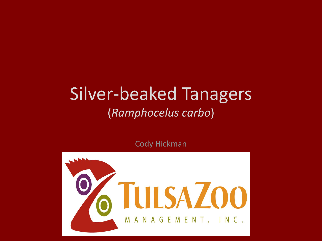### Silver-beaked Tanagers (*Ramphocelus carbo*)

Cody Hickman

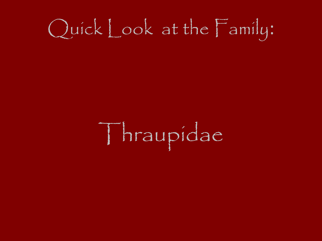# Quick Look at the Family:

Thraupidae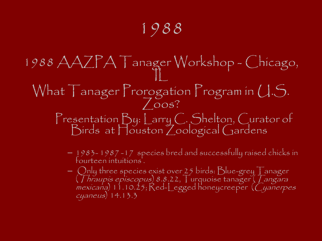### 1988

1988 AAZPA Tanager Workshop - Chicago,  $\prod$ What Tanager Prorogation Program in U.S.  $\sqrt{OOS}$ Presentation By: Larry C. Shelton, Curator of Birds at Houston Zoological Gardens

- 1983- 1987 -17 species bred and successfully raised chicks in fourteen intuitions'.
- $-$  Only three species exist over 25 birds: Blue-grey Tanager  $\,$ (Thraupis episcopus) 8.8.22, Turquoise tanager (Tangara  $mexican$ ) 11.10.25; Red-Legged honeycreeper (Cyanerpes cyaneus) 14.13.3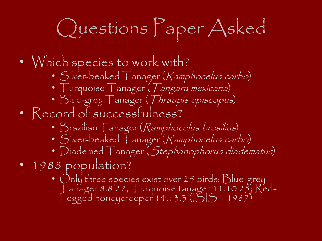# Questions Paper Asked

- Which species to work with?
	- Silver-beaked Tanager (Ramphocelus carbo)
	- Turquoise Tanager (*Tangara mexicana*)
	- Blue-grey Tanager (Thraupis episcopus)
- Record of successfulness?
	- Brazilian Tanager (Ramphocelus bresilius)
	- Silver-beaked Tanager (Ramphocelus carbo)
	- Diademed Tanager (Stephanophorus diadematus)
- 1988 population?
	- Only three species exist over 25 birds: Blue-grey  $\int$  anager 8.8.22,  $\int$  urquoise tanager 11.10.25;  $\text{Red}$ -Legged honeycreeper 14.13.3 (ISIS – 1987)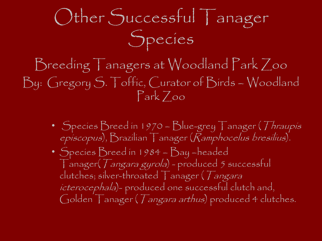## Other Successful Tanager Species

Breeding Tanagers at Woodland Park Zoo By: Gregory S. Toffic, Curator of Birds – Woodland Park Zoo

- Species Breed in 1970 Blue-grey Tanager (Thraupis episcopus), Brazilian Tanager (Ramphocelus bresilius).
- Species Breed in 1984 Bay –headed Tanager(Tangara gyrola) - produced 5 successful clutches; silver-throated Tanager (Tangara icterocephala)- produced one successful clutch and, Golden Tanager (*Tangara arthus*) produced 4 clutches.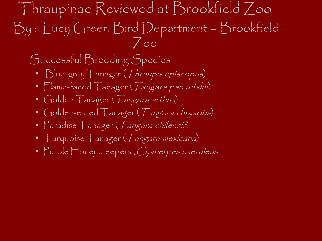Thraupinae Reviewed at Brookfield Zoo By : Lucy Greer, Bird Department – Brookfield  $7$ oo

– Successful Breeding Species

- Blue-grey Tanager (Thraupis episcopus)
- Flame-faced Tanager (Tangara parzudakii)
- Golden Tanager (*Tangara arthus*)
- Golden-eared Tanager (Tangara chrysotis)
- Paradise Tanager (*Tangara chilensis*)
- Turquoise Tanager (*Tangara mexicana*)
- Purple Honeycreepers (Cyanerpes caeruleus)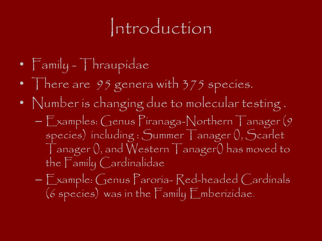### Introduction

- Family Thraupidae
- There are 95 genera with 375 species.
- Number is changing due to molecular testing . – Examples: Genus Piranaga-Northern Tanager (9 species) including : Summer Tanager (), Scarlet
	- Tanager (), and Western Tanager() has moved to the Family Cardinalidae
	- Example: Genus Paroria- Red-headed Cardinals (6 species) was in the Family Emberizidae.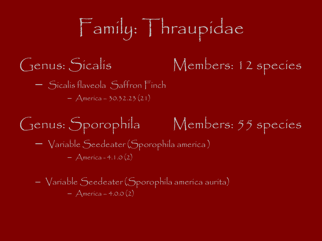# Family: Thraupidae

### Genus: Sicalis Members: 12 species

- Sicalis flaveola Saffron Finch
	- $-$  America 30.32.23 (21)

### Genus: Sporophila Members: 55 species

– Variable Seedeater (Sporophila america )  $-$  America - 4.1.0 (2)

– Variable Seedeater (Sporophila america aurita)  $-$  America – 4.0.0 (2)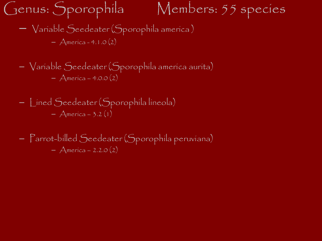Genus: Sporophila Members: 55 species

– Variable Seedeater (Sporophila america )

 $-$  America - 4.1.0 (2)

– Variable Seedeater (Sporophila america aurita)  $-$  America – 4.0.0 (2)

– Lined Seedeater (Sporophila lineola) – America – 3.2 (1)

– Parrot-billed Seedeater (Sporophila peruviana)  $-$  America – 2.2.0 (2)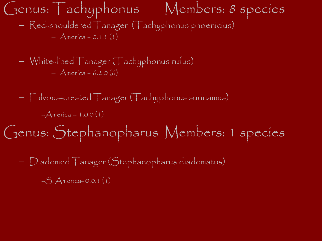Genus: Tachyphonus Members: 8 species – Red-shouldered Tanager (Tachyphonus phoenicius)  $-$  America – 0.1.1 (1)

- White-lined Tanager (Tachyphonus rufus) – America – 6.2.0 (6)
- Fulvous-crested Tanager (Tachyphonus surinamus)  $-A$ merica – 1.0.0 (1)
- Genus: Stephanopharus Members: 1 species
	- Diademed Tanager (Stephanopharus diadematus)
		- –S. America- 0.0.1 (1)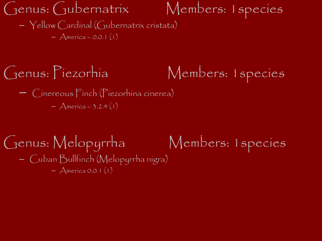Genus: Gubernatrix Members: 1species – Yellow Cardinal (Gubernatrix cristata)  $-$  America – 0.0.1 (1)

### Genus: Piezorhia Members: 1 species – Cinereous Finch (Piezorhina cinerea)

 $-$  America – 3.2.4 (1)

#### Genus: Melopyrrha Members: 1species – Cuban Bullfinch (Melopyrrha nigra)  $-$  America 0.0.1 (1)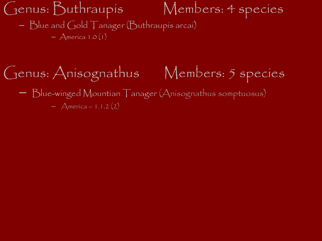Genus: Buthraupis Members: 4 species – Blue and Gold Tanager (Buthraupis arcai)  $-$  America 1.0 (1)

### Genus: Anisognathus Members: 5 species – Blue-winged Mountian Tanager (Anisognathus somptuosus)  $-$  America – 1.1.2 (2)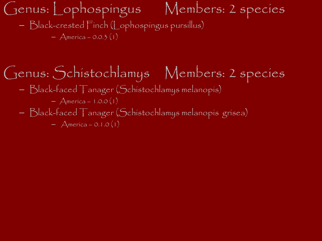#### Genus: Lophospingus Members: 2 species – Black-crested Finch (Lophospingus pursillus)  $-$  America – 0.0.3 (1)

### Genus: Schistochlamys Members: 2 species

- Black-faced Tanager (Schistochlamys melanopis)
	- $-$  America 1.0.0 (1)
- Black-faced Tanager (Schistochlamys melanopis grisea)

 $-$  America – 0.1.0 (1)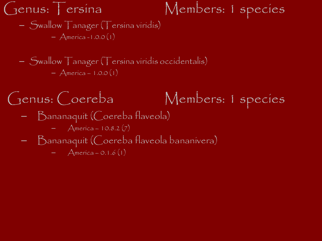### Genus: Tersina Members: 1 species

– Swallow Tanager (Tersina viridis) – America -1.0.0 (1)

– Swallow Tanager (Tersina viridis occidentalis)  $-$  America – 1.0.0 (1)

Genus: Coereba Members: 1 species – Bananaquit (Coereba flaveola)  $-$  America – 10.8.2 (7) – Bananaquit (Coereba flaveola bananivera)  $-$  America – 0.1.6 (1)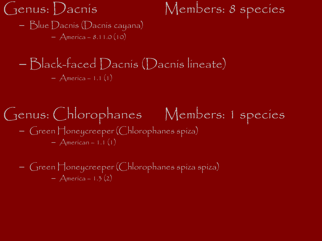Genus: Dacnis Members: 8 species

– Blue Dacnis (Dacnis cayana)  $-$  America – 8.11.0 (10)

#### – Black-faced Dacnis (Dacnis lineate)  $-$  America – 1.1 (1)

#### Genus: Chlorophanes Members: 1 species – Green Honeycreeper (Chlorophanes spiza)  $-$  American – 1.1 (1)

– Green Honeycreeper (Chlorophanes spiza spiza)  $-$  America – 1.3 (2)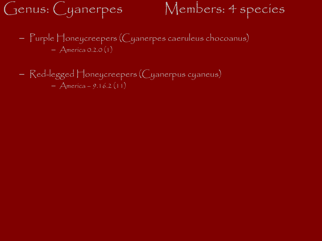### Genus: Cyanerpes Members: 4 species

- Purple Honeycreepers (Cyanerpes caeruleus chocoanus)  $-$  America 0.2.0 (1)
- Red-legged Honeycreepers (Cyanerpus cyaneus)  $-$  America – 9.16.2 (11)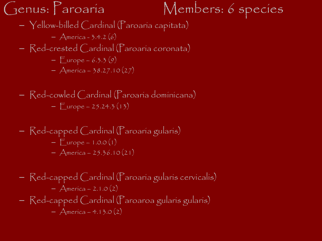Genus: Paroaria Members: 6 species

- Yellow-billed Cardinal (Paroaria capitata)
	- $-$  America 3.4.2 (6)
- Red-crested Cardinal (Paroaria coronata)
	- $-$  Europe 6.3.3 (9)
	- $-$  America 38.27.10 (27)
- Red-cowled Cardinal (Paroaria dominicana)  $-$  Europe – 25.24.3 (13)
- Red-capped Cardinal (Paroaria gularis)  $-$  Europe – 1.0.0 (1)  $-$  America – 25.36.10(21)
- Red-capped Cardinal (Paroaria gularis cervicalis)  $-$  America – 2.1.0 (2) – Red-capped Cardinal (Paroaroa gularis gularis)  $-$  America – 4.13.0 (2)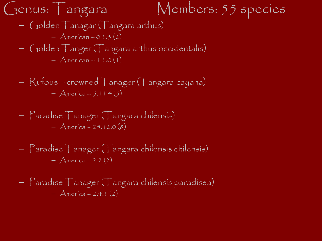#### Genus: Tangara Members: 55 species – Golden Tanagar (Tangara arthus)  $-$  American – 0.1.3 (2) – Golden Tanger (Tangara arthus occidentalis)

$$
- American - 1.1.0(1)
$$

– Rufous – crowned Tanager (Tangara cayana)  $-$  America – 5.11.4 (5)

– Paradise Tanager (Tangara chilensis) – America – 25.12.0 (8)

– Paradise Tanager (Tangara chilensis chilensis) – America – 2.2 (2)

– Paradise Tanager (Tangara chilensis paradisea) – America – 2.4.1 (2)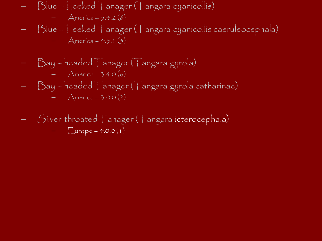- Blue Leeked Tanager (Tangara cyanicollis)  $-$  America – 5.4.2 (6)
- Blue Leeked Tanager (Tangara cyanicollis caeruleocephala)  $-$  America – 4.5.1 (3)
- Bay headed Tanager (Tangara gyrola) – America – 3.4.0 (6)
- Bay headed Tanager (Tangara gyrola catharinae)
	- $-$  America 3.0.0 (2)
- Silver-throated Tanager (Tangara icterocephala)  $\text{Europe} - 4.0.0(1)$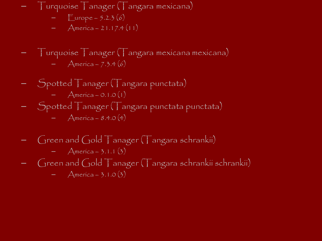- Turquoise Tanager (Tangara mexicana)
	- $-$  Europe 5.2.3 (6)
	- $-$  America 21.17.4 (11)
- Turquoise Tanager (Tangara mexicana mexicana)
	- $-$  America 7.3.4 (6)
- Spotted Tanager (Tangara punctata)
	- $-$  America 0.1.0 (1)
- Spotted Tanager (Tangara punctata punctata)
	- $-$  America 8.4.0 (4)
- Green and Gold  $\top$ anager ( $\top$ angara schrankii)
	- $-$  America 3.1.1 (3)
- Green and Gold Tanager (Tangara schrankii schrankii)
	- $-$  America 3.1.0 (3)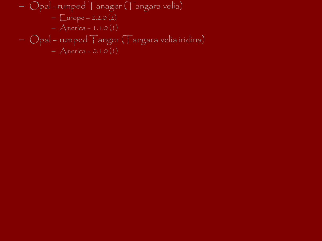– Opal –rumped Tanager (Tangara velia)  $-$  Europe – 2.2.0 (2) – America – 1.1.0 (1) – Opal – rumped Tanger (Tangara velia iridina)  $-$  America – 0.1.0 (1)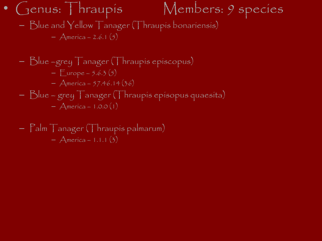• Genus: Thraupis Members: 9 species

– Blue and Yellow Tanager (Thraupis bonariensis)  $-$  America – 2.6.1 (5)

\n- Blue - grey T anager (Thraupís episcopus) 
$$
-
$$
 Europe - 5.6.3 (5)  $-$  America - 57.46.14 (36)  $-$  Blue - grey T anager (Thraupís episopus quacsita)  $-$  America - 1.0.0 (1)
\n

– Palm Tanager (Thraupis palmarum)  $-$  America – 1.1.1 (3)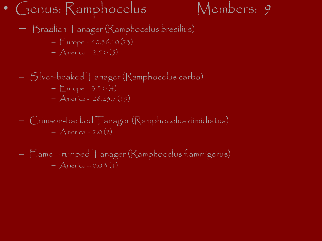#### • Genus: Ramphocelus Members: 9



- Brazilian Tanager (Ramphocelus bresilius)
	- $-$  Europe 40.36.10 $(23)$
	- $-$  America 2.5.0 (5)
- Silver-beaked Tanager (Ramphocelus carbo)  $-$  Europe – 3.3.0 (4)  $-$  America - 26.23.7 (19)
- Crimson-backed Tanager (Ramphocelus dimidiatus)  $-$  America – 2.0 (2)
- Flame rumped Tanager (Ramphocelus flammigerus)  $-$  America – 0.0.3 (1)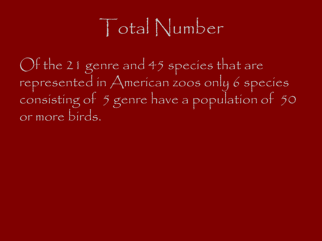### Total Number

Of the 21 genre and 45 species that are represented in American zoos only 6 species consisting of 5 genre have a population of 50 or more birds.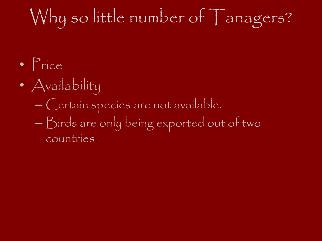### Why so little number of Tanagers?

- Price
- Availability
	- Certain species are not available.
	- Birds are only being exported out of two countries.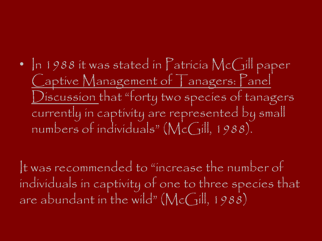### • In 1988 it was stated in Patricia McGill paper Captive Management of Tanagers: Panel Discussion that "forty two species of tanagers" currently in captivity are represented by small numbers of individuals" (McGill, 1988).

It was recommended to "increase the number of individuals in captivity of one to three species that are abundant in the wild" ( $\mathsf{McGill},$  1988)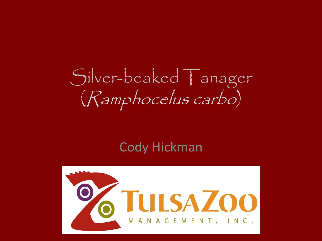## Silver-beaked Tanager (Ramphocelus carbo)

#### Cody Hickman

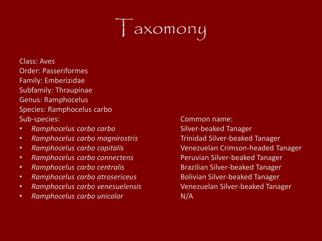### axomony

- Class: Aves Order: Passeriformes Family: Emberizidae Subfamily: Thraupinae Genus: Ramphocelus Species: Ramphocelus carbo Sub-species: Common name:
- **Ramphocelus carbo carbo carbo carbo carbo silver-beaked Tanager**
- *Ramphocelus carbo magnirostris* Trinidad Silver-beaked Tanager
- 
- *Ramphocelus carbo connectens* Peruvian Silver-beaked Tanager
- Ramphocelus carbo centralis **Brazilian Silver-beaked Tanager**
- *Ramphocelus carbo atrosericeus* **Bolivian Silver-beaked Tanager**
- *Ramphocelus carbo venesuelensis* Venezuelan Silver-beaked Tanager
- *Ramphocelus carbo unicolor* **Access 2018** N/A

• *Ramphocelus carbo capitalis* Venezuelan Crimson-headed Tanager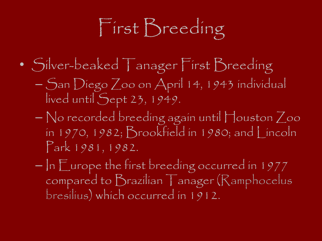# First Breeding

- Silver-beaked Tanager First Breeding
	- San Diego Zoo on April 14, 1943 individual lived until Sept 23, 1949.
	- No recorded breeding again until Houston Zoo in 1970, 1982; Brookfield in 1980; and Lincoln Park 1981, 1982.
	- $-$  In  $\mathbb E$  urope the first breeding occurred in 1977 compared to Brazílían | anager (Ramphocelus bresilius) which occurred in 1912.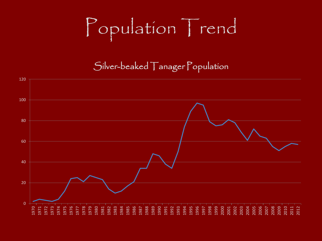# Population Trend

Silver-beaked Tanager Population

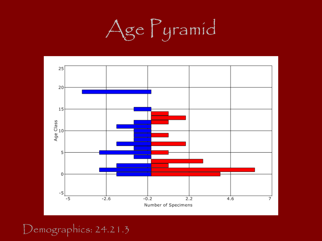



Demographics: 24.21.3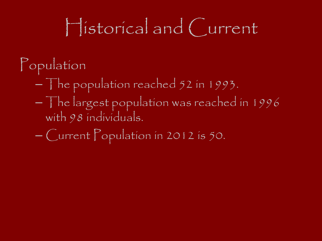## Historical and Current

- Population
	- The population reached 52 in 1993.
	- $-$  The largest population was reached in 1996 with 98 individuals.
	- Current Population in 2012 is 50.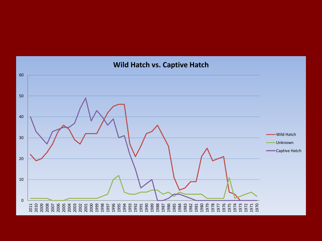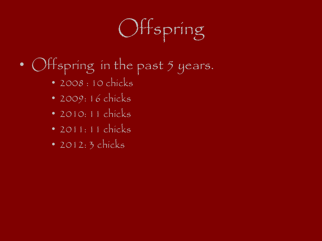# Offspring

- Offspring in the past 5 years.
	- 2008 : 10 chicks
	- 2009: 16 chicks
	- 2010: 11 chicks
	- 2011: 11 chicks
	- 2012: 3 chicks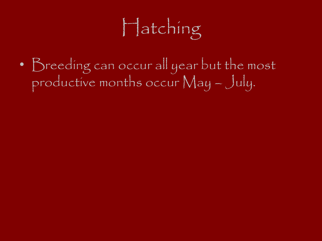# Hatching

• Breeding can occur all year but the most productive months occur May – July.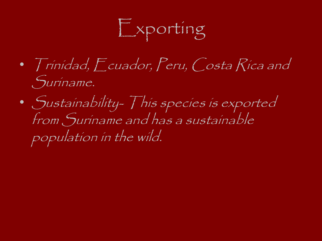Exporting

- Trinidad, Ecuador, Peru, Costa Rica and Suriname.
- Sustainability- This species is exported from Suriname and has a sustainable population in the wild.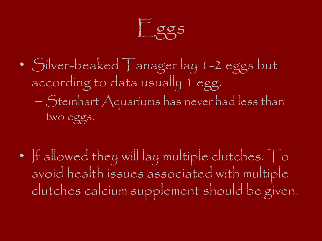Eggs

- Silver-beaked Tanager lay 1-2 eggs but according to data usually 1 egg. – Steinhart Aquariums has never had less than two eggs.
- If allowed they will lay multiple clutches. To avoid health issues associated with multiple clutches calcium supplement should be given.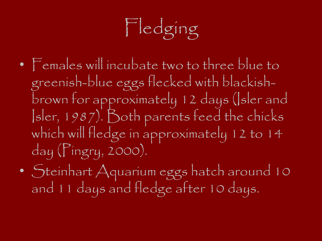# Fledging

- Females will incubate two to three blue to greenish-blue eggs flecked with blackishbrown for approximately 12 days (Isler and Isler, 1987). Both parents feed the chicks which will fledge in approximately 12 to 14 day (Pingry, 2000).
- Steinhart Aquarium eggs hatch around 10 and 11 days and fledge after 10 days.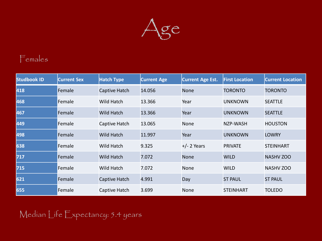

#### Females

| <b>Studbook ID</b> | <b>Current Sex</b> | <b>Hatch Type</b> | <b>Current Age</b> | <b>Current Age Est.</b> | <b>First Location</b> | <b>Current Location</b> |
|--------------------|--------------------|-------------------|--------------------|-------------------------|-----------------------|-------------------------|
| 418                | Female             | Captive Hatch     | 14.056             | <b>None</b>             | <b>TORONTO</b>        | <b>TORONTO</b>          |
| 468                | Female             | Wild Hatch        | 13.366             | Year                    | <b>UNKNOWN</b>        | <b>SEATTLE</b>          |
| 467                | Female             | Wild Hatch        | 13.366             | Year                    | <b>UNKNOWN</b>        | <b>SEATTLE</b>          |
| 449                | Female             | Captive Hatch     | 13.065             | None                    | NZP-WASH              | <b>HOUSTON</b>          |
| 498                | Female             | Wild Hatch        | 11.997             | Year                    | <b>UNKNOWN</b>        | <b>LOWRY</b>            |
| 638                | Female             | Wild Hatch        | 9.325              | $+/- 2$ Years           | <b>PRIVATE</b>        | <b>STEINHART</b>        |
| 717                | Female             | <b>Wild Hatch</b> | 7.072              | <b>None</b>             | <b>WILD</b>           | <b>NASHV ZOO</b>        |
| 715                | Female             | Wild Hatch        | 7.072              | None                    | <b>WILD</b>           | <b>NASHV ZOO</b>        |
| 621                | Female             | Captive Hatch     | 4.991              | Day                     | <b>ST PAUL</b>        | <b>ST PAUL</b>          |
| 655                | Female             | Captive Hatch     | 3.699              | None                    | <b>STEINHART</b>      | <b>TOLEDO</b>           |

Median Life Expectancy: 5.4 years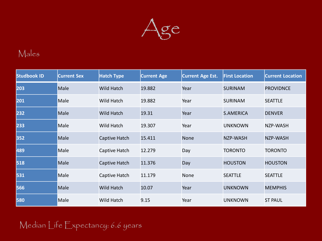

#### Males

| <b>Studbook ID</b> | <b>Current Sex</b> | <b>Hatch Type</b>    | <b>Current Age</b> | <b>Current Age Est.</b> | <b>First Location</b> | <b>Current Location</b> |
|--------------------|--------------------|----------------------|--------------------|-------------------------|-----------------------|-------------------------|
| 203                | Male               | <b>Wild Hatch</b>    | 19.882             | Year                    | <b>SURINAM</b>        | <b>PROVIDNCE</b>        |
| 201                | Male               | Wild Hatch           | 19.882             | Year                    | <b>SURINAM</b>        | <b>SEATTLE</b>          |
| 232                | Male               | <b>Wild Hatch</b>    | 19.31              | Year                    | <b>S.AMERICA</b>      | <b>DENVER</b>           |
| 233                | Male               | Wild Hatch           | 19.307             | Year                    | <b>UNKNOWN</b>        | NZP-WASH                |
| 352                | Male               | <b>Captive Hatch</b> | 15.411             | <b>None</b>             | NZP-WASH              | <b>NZP-WASH</b>         |
| 489                | Male               | Captive Hatch        | 12.279             | Day                     | <b>TORONTO</b>        | <b>TORONTO</b>          |
| 518                | Male               | <b>Captive Hatch</b> | 11.376             | Day                     | <b>HOUSTON</b>        | <b>HOUSTON</b>          |
| 531                | Male               | Captive Hatch        | 11.179             | None                    | <b>SEATTLE</b>        | <b>SEATTLE</b>          |
| 566                | Male               | <b>Wild Hatch</b>    | 10.07              | Year                    | <b>UNKNOWN</b>        | <b>MEMPHIS</b>          |
| 580                | Male               | Wild Hatch           | 9.15               | Year                    | <b>UNKNOWN</b>        | <b>ST PAUL</b>          |

#### Median Life Expectancy: 6.6 years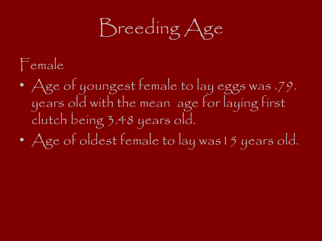Breeding Age

### Female

- Age of youngest female to lay eggs was .79. years old with the mean age for laying first clutch being 3.48 years old.
- Age of oldest female to lay was15 years old.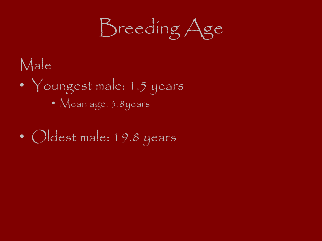Breeding Age

Male

- Youngest male: 1.5 years
	- Mean age: 3.8years
- Oldest male: 19.8 years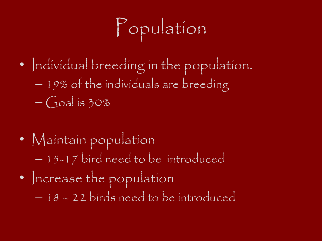# Population

- Individual breeding in the population. – 19% of the individuals are breeding  $-\sqrt{10a}$  is 30%
- Maintain population – 15-17 bird need to be introduced • Increase the population – 18 – 22 birds need to be introduced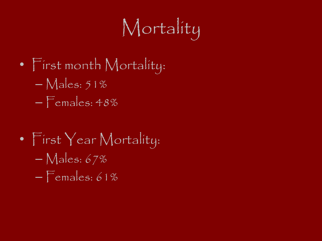# Mortality

- First month Mortality:
	- $-$  Males: 51%
	- $-$  Females:  $48\%$
- First Year Mortality: – Males: 67%  $-$  Females: 61%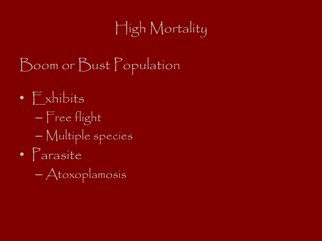### High Mortality

- Boom or Bust Population
- $\bullet$   $\Gamma$  xhibits – Free flight – Multiple species • Parasite
	- Atoxoplamosis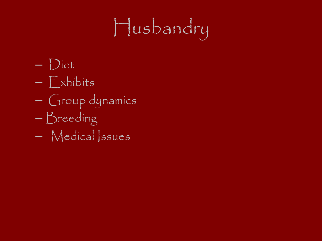# Husbandry

- Diet
- Exhibits
- Group dynamics
- Breeding
- Medical Issues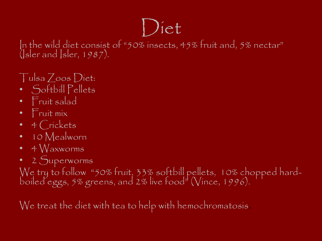# Diet

In the wild diet consist of "50% insects, 45% fruit and, 5% nectar"  $(|$ sler and  $|$ sler, 1987).

#### Tulsa Zoos Diet:

- Softbill Pellets
- Fruit salad
- Fruit mix
- 4 Crickets
- 10 Mealworn
- 4 Waxworms
- 2 Superworms

We try to follow "50% fruit, 33% softbill pellets, 10% chopped hardboiled eggs, 5% greens, and 2% live food" (Vince, 1996).

We treat the diet with tea to help with hemochromatosis.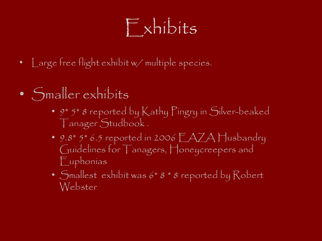## Exhibits

- Large free flight exhibit w/ multiple species.
- Smaller exhibits
	- 9\* 5\* 8 reported by Kathy Pingry in Silver-beaked Tanager Studbook .
	- 9.8\* 5\* 6.5 reported in 2006 EAZA Husbandry Guidelines for Tanagers, Honeycreepers and Euphonias
	- Smallest exhibit was 6\* 8 \* 8 reported by Robert Webster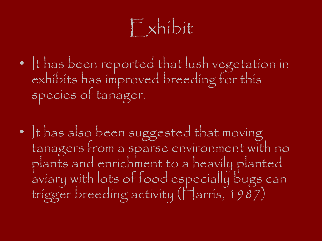## Exhibit

- It has been reported that lush vegetation in exhibits has improved breeding for this species of tanager.
- It has also been suggested that moving tanagers from a sparse environment with no plants and enrichment to a heavily planted aviary with lots of food especially bugs can trigger breeding activity (Harris, 1987)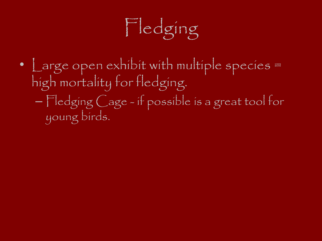

• Large open exhibit with multiple species = high mortality for fledging. – Fledging Cage - if possible is a great tool for young birds.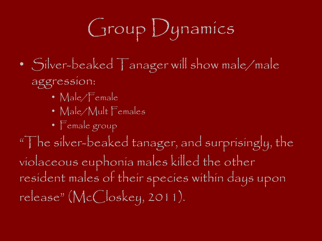# Group Dynamics

- Silver-beaked Tanager will show male/male aggression:
	- Male/Female
	- Male/Mult Females
	- Female group

"The silver-beaked tanager, and surprisingly, the violaceous euphonia males killed the other resident males of their species within days upon release" (McCloskey, 2011).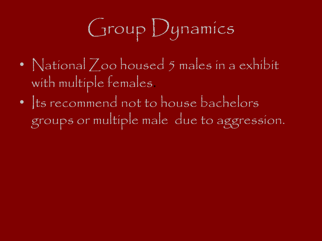# Group Dynamics

- National Zoo housed 5 males in a exhibit with multiple females.
- Its recommend not to house bachelors groups or multiple male due to aggression.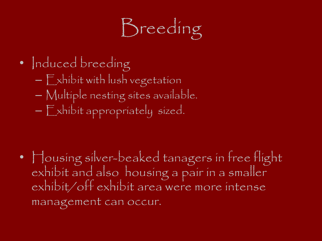# Breeding

- Induced breeding
	- Exhibit with lush vegetation
	- Multiple nesting sites available.
	- Exhibit appropriately sized.

• Housing silver-beaked tanagers in free flight exhibit and also housing a pair in a smaller exhibit/off exhibit area were more intense management can occur.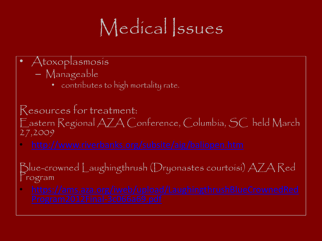## Medical Ssues

- Atoxoplasmosis
	- Manageable
		- contributes to high mortality rate.

Resources for treatment: Eastern Regional AZA Conference, Columbia, SC held March 27,2009

Blue-crowned Laughingthrush (Dryonastes courtoisi) AZA Red  $r<sub>ogram</sub>$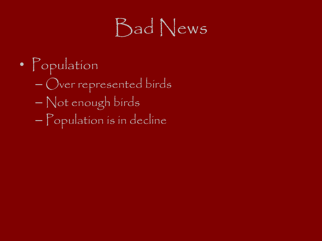## Bad News

• Population – Over represented birds – Not enough birds – Population is in decline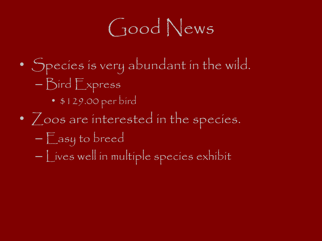## Good News

- Species is very abundant in the wild.
	- Bird Express
		- \$129.00 per bird
- Zoos are interested in the species.
	- Easy to breed
	- Lives well in multiple species exhibit